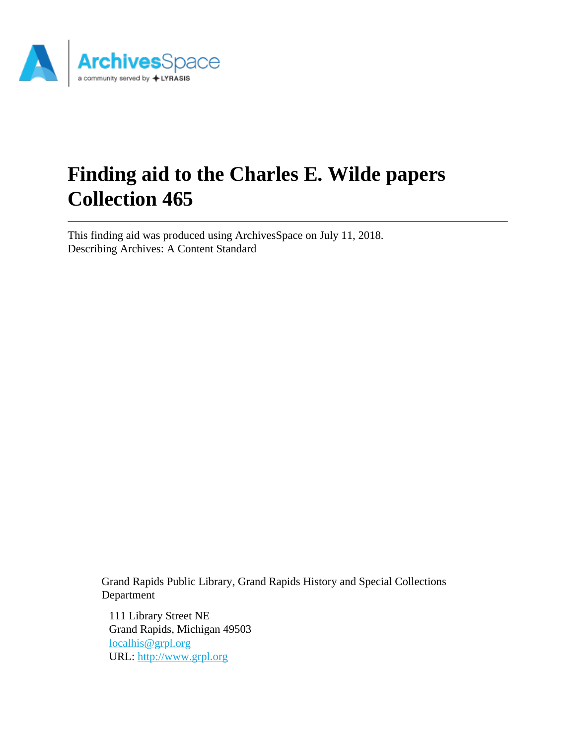

# **Finding aid to the Charles E. Wilde papers Collection 465**

This finding aid was produced using ArchivesSpace on July 11, 2018. Describing Archives: A Content Standard

> Grand Rapids Public Library, Grand Rapids History and Special Collections Department

111 Library Street NE Grand Rapids, Michigan 49503 [localhis@grpl.org](mailto:localhis@grpl.org) URL:<http://www.grpl.org>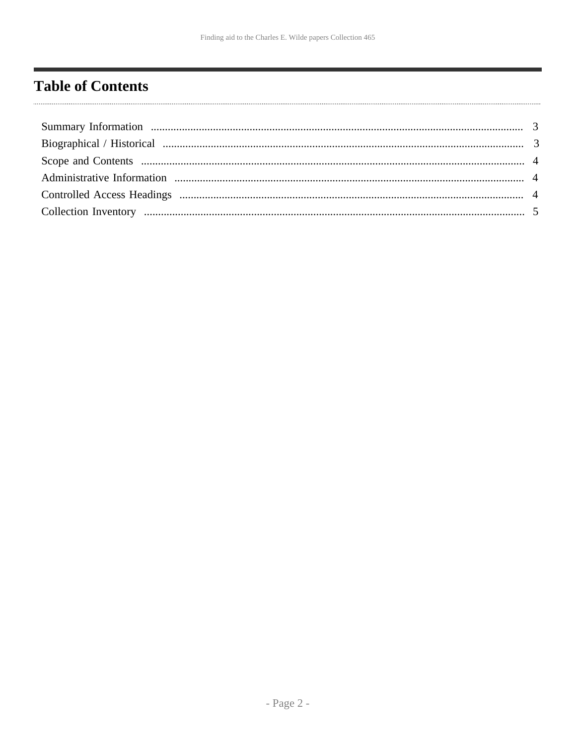# <span id="page-1-0"></span>**Table of Contents**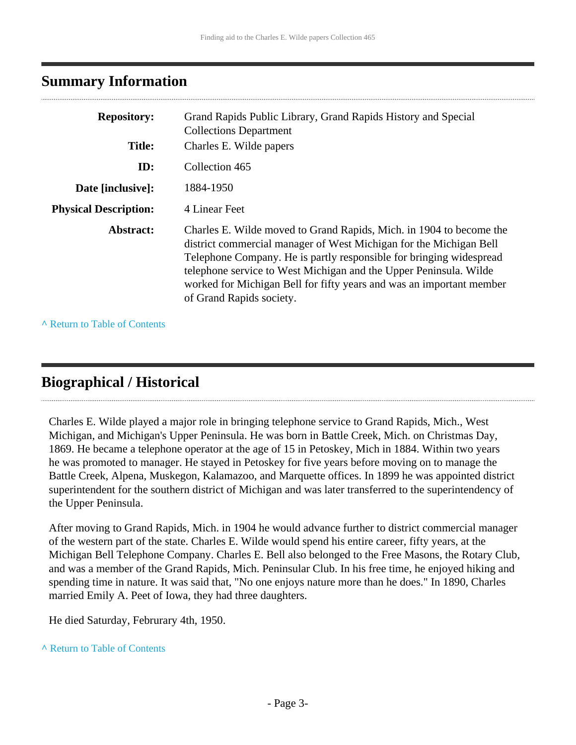### <span id="page-2-0"></span>**Summary Information**

| <b>Repository:</b>           | Grand Rapids Public Library, Grand Rapids History and Special<br><b>Collections Department</b>                                                                                                                                                                                                                                                                                            |
|------------------------------|-------------------------------------------------------------------------------------------------------------------------------------------------------------------------------------------------------------------------------------------------------------------------------------------------------------------------------------------------------------------------------------------|
| <b>Title:</b>                | Charles E. Wilde papers                                                                                                                                                                                                                                                                                                                                                                   |
| ID:                          | Collection 465                                                                                                                                                                                                                                                                                                                                                                            |
| Date [inclusive]:            | 1884-1950                                                                                                                                                                                                                                                                                                                                                                                 |
| <b>Physical Description:</b> | 4 Linear Feet                                                                                                                                                                                                                                                                                                                                                                             |
| Abstract:                    | Charles E. Wilde moved to Grand Rapids, Mich. in 1904 to become the<br>district commercial manager of West Michigan for the Michigan Bell<br>Telephone Company. He is partly responsible for bringing widespread<br>telephone service to West Michigan and the Upper Peninsula. Wilde<br>worked for Michigan Bell for fifty years and was an important member<br>of Grand Rapids society. |

**^** [Return to Table of Contents](#page-1-0)

# <span id="page-2-1"></span>**Biographical / Historical**

Charles E. Wilde played a major role in bringing telephone service to Grand Rapids, Mich., West Michigan, and Michigan's Upper Peninsula. He was born in Battle Creek, Mich. on Christmas Day, 1869. He became a telephone operator at the age of 15 in Petoskey, Mich in 1884. Within two years he was promoted to manager. He stayed in Petoskey for five years before moving on to manage the Battle Creek, Alpena, Muskegon, Kalamazoo, and Marquette offices. In 1899 he was appointed district superintendent for the southern district of Michigan and was later transferred to the superintendency of the Upper Peninsula.

After moving to Grand Rapids, Mich. in 1904 he would advance further to district commercial manager of the western part of the state. Charles E. Wilde would spend his entire career, fifty years, at the Michigan Bell Telephone Company. Charles E. Bell also belonged to the Free Masons, the Rotary Club, and was a member of the Grand Rapids, Mich. Peninsular Club. In his free time, he enjoyed hiking and spending time in nature. It was said that, "No one enjoys nature more than he does." In 1890, Charles married Emily A. Peet of Iowa, they had three daughters.

He died Saturday, Februrary 4th, 1950.

**^** [Return to Table of Contents](#page-1-0)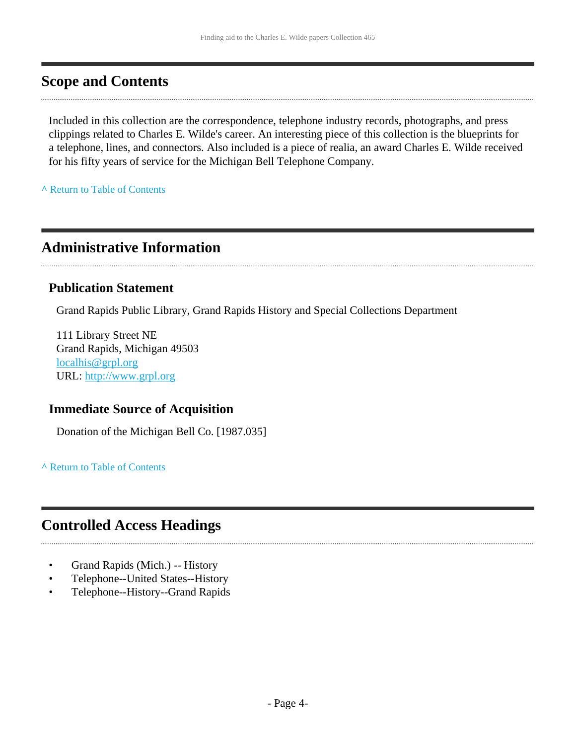### <span id="page-3-0"></span>**Scope and Contents**

Included in this collection are the correspondence, telephone industry records, photographs, and press clippings related to Charles E. Wilde's career. An interesting piece of this collection is the blueprints for a telephone, lines, and connectors. Also included is a piece of realia, an award Charles E. Wilde received for his fifty years of service for the Michigan Bell Telephone Company.

**^** [Return to Table of Contents](#page-1-0)

# <span id="page-3-1"></span>**Administrative Information**

#### **Publication Statement**

Grand Rapids Public Library, Grand Rapids History and Special Collections Department

111 Library Street NE Grand Rapids, Michigan 49503 [localhis@grpl.org](mailto:localhis@grpl.org) URL:<http://www.grpl.org>

#### **Immediate Source of Acquisition**

Donation of the Michigan Bell Co. [1987.035]

**^** [Return to Table of Contents](#page-1-0)

# <span id="page-3-2"></span>**Controlled Access Headings**

- Grand Rapids (Mich.) -- History
- Telephone--United States--History
- Telephone--History--Grand Rapids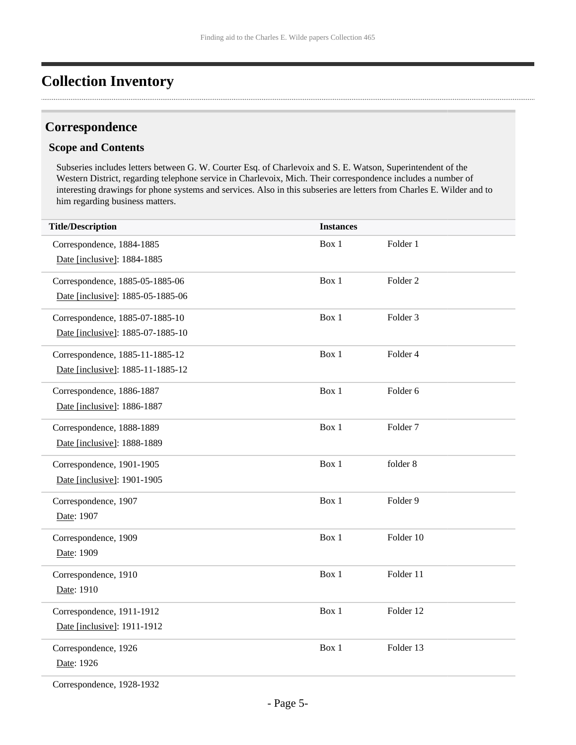# <span id="page-4-0"></span>**Collection Inventory**

#### **Correspondence**

#### **Scope and Contents**

Subseries includes letters between G. W. Courter Esq. of Charlevoix and S. E. Watson, Superintendent of the Western District, regarding telephone service in Charlevoix, Mich. Their correspondence includes a number of interesting drawings for phone systems and services. Also in this subseries are letters from Charles E. Wilder and to him regarding business matters.

| <b>Title/Description</b>          | <b>Instances</b> |                     |
|-----------------------------------|------------------|---------------------|
| Correspondence, 1884-1885         | Box 1            | Folder 1            |
| Date [inclusive]: 1884-1885       |                  |                     |
| Correspondence, 1885-05-1885-06   | Box 1            | Folder <sub>2</sub> |
| Date [inclusive]: 1885-05-1885-06 |                  |                     |
| Correspondence, 1885-07-1885-10   | Box 1            | Folder <sub>3</sub> |
| Date [inclusive]: 1885-07-1885-10 |                  |                     |
| Correspondence, 1885-11-1885-12   | Box 1            | Folder 4            |
| Date [inclusive]: 1885-11-1885-12 |                  |                     |
| Correspondence, 1886-1887         | Box 1            | Folder <sub>6</sub> |
| Date [inclusive]: 1886-1887       |                  |                     |
| Correspondence, 1888-1889         | Box 1            | Folder <sub>7</sub> |
| Date [inclusive]: 1888-1889       |                  |                     |
| Correspondence, 1901-1905         | Box 1            | folder 8            |
| Date [inclusive]: 1901-1905       |                  |                     |
| Correspondence, 1907              | Box 1            | Folder 9            |
| Date: 1907                        |                  |                     |
| Correspondence, 1909              | Box 1            | Folder 10           |
| Date: 1909                        |                  |                     |
| Correspondence, 1910              | Box 1            | Folder 11           |
| Date: 1910                        |                  |                     |
| Correspondence, 1911-1912         | Box 1            | Folder 12           |
| Date [inclusive]: 1911-1912       |                  |                     |
| Correspondence, 1926              | Box 1            | Folder 13           |
| Date: 1926                        |                  |                     |
|                                   |                  |                     |

Correspondence, 1928-1932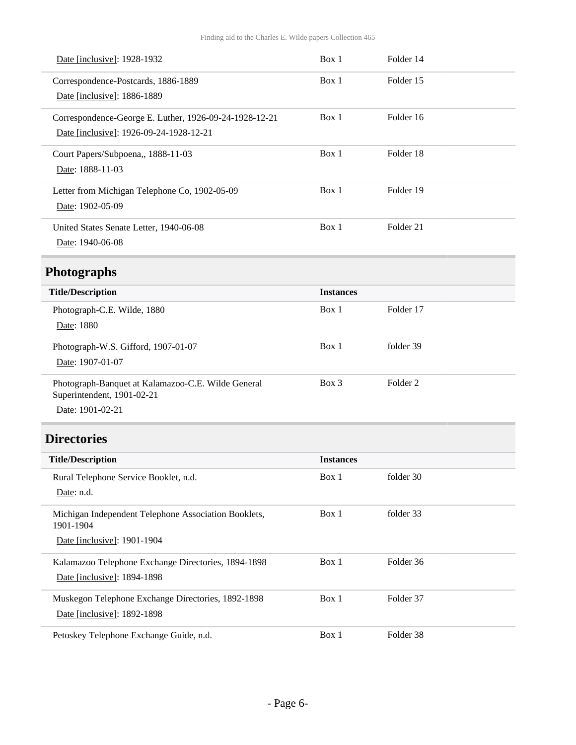| Date [inclusive]: 1928-1932                                                      | Box 1            | Folder 14           |  |
|----------------------------------------------------------------------------------|------------------|---------------------|--|
| Correspondence-Postcards, 1886-1889                                              | Box 1            | Folder 15           |  |
| Date [inclusive]: 1886-1889                                                      |                  |                     |  |
| Correspondence-George E. Luther, 1926-09-24-1928-12-21                           | Box 1            | Folder 16           |  |
| Date [inclusive]: 1926-09-24-1928-12-21                                          |                  |                     |  |
| Court Papers/Subpoena,, 1888-11-03                                               | Box 1            | Folder 18           |  |
| Date: 1888-11-03                                                                 |                  |                     |  |
| Letter from Michigan Telephone Co, 1902-05-09                                    | Box 1            | Folder 19           |  |
| Date: 1902-05-09                                                                 |                  |                     |  |
| United States Senate Letter, 1940-06-08                                          | Box 1            | Folder 21           |  |
| Date: 1940-06-08                                                                 |                  |                     |  |
| <b>Photographs</b>                                                               |                  |                     |  |
| <b>Title/Description</b>                                                         | <b>Instances</b> |                     |  |
| Photograph-C.E. Wilde, 1880                                                      | Box 1            | Folder 17           |  |
| Date: 1880                                                                       |                  |                     |  |
| Photograph-W.S. Gifford, 1907-01-07                                              | Box 1            | folder 39           |  |
| Date: 1907-01-07                                                                 |                  |                     |  |
| Photograph-Banquet at Kalamazoo-C.E. Wilde General<br>Superintendent, 1901-02-21 | Box 3            | Folder <sub>2</sub> |  |
| Date: 1901-02-21                                                                 |                  |                     |  |
| <b>Directories</b>                                                               |                  |                     |  |
| <b>Title/Description</b>                                                         | <b>Instances</b> |                     |  |
| Rural Telephone Service Booklet, n.d.                                            | Box 1            | folder 30           |  |
| Date: n.d.                                                                       |                  |                     |  |
| Michigan Independent Telephone Association Booklets,<br>1901-1904                | Box 1            | folder 33           |  |
| Date [inclusive]: 1901-1904                                                      |                  |                     |  |
| Kalamazoo Telephone Exchange Directories, 1894-1898                              | Box 1            | Folder 36           |  |
| Date [inclusive]: 1894-1898                                                      |                  |                     |  |
| Muskegon Telephone Exchange Directories, 1892-1898                               | Box 1            | Folder 37           |  |
| Date [inclusive]: 1892-1898                                                      |                  |                     |  |
| Petoskey Telephone Exchange Guide, n.d.                                          | Box 1            | Folder 38           |  |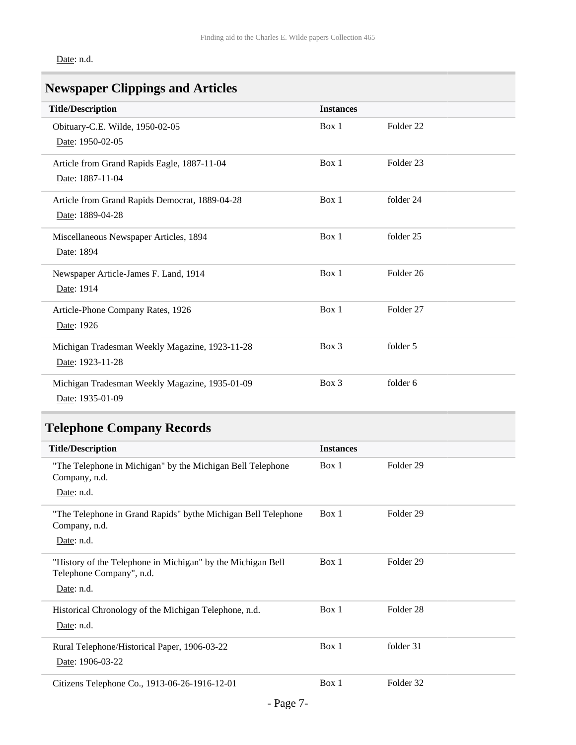Date: n.d.

# **Newspaper Clippings and Articles**

| <b>Title/Description</b>                       | <b>Instances</b> |                      |
|------------------------------------------------|------------------|----------------------|
| Obituary-C.E. Wilde, 1950-02-05                | Box 1            | Folder 22            |
| Date: 1950-02-05                               |                  |                      |
| Article from Grand Rapids Eagle, 1887-11-04    | Box 1            | Folder <sub>23</sub> |
| Date: 1887-11-04                               |                  |                      |
| Article from Grand Rapids Democrat, 1889-04-28 | Box 1            | folder 24            |
| Date: 1889-04-28                               |                  |                      |
| Miscellaneous Newspaper Articles, 1894         | Box 1            | folder 25            |
| Date: 1894                                     |                  |                      |
| Newspaper Article-James F. Land, 1914          | Box 1            | Folder 26            |
| Date: 1914                                     |                  |                      |
| Article-Phone Company Rates, 1926              | Box 1            | Folder 27            |
| Date: 1926                                     |                  |                      |
| Michigan Tradesman Weekly Magazine, 1923-11-28 | Box 3            | folder 5             |
| Date: 1923-11-28                               |                  |                      |
| Michigan Tradesman Weekly Magazine, 1935-01-09 | Box 3            | folder 6             |
| Date: 1935-01-09                               |                  |                      |

# **Telephone Company Records**

| <b>Title/Description</b>                                                                              | <b>Instances</b> |                      |
|-------------------------------------------------------------------------------------------------------|------------------|----------------------|
|                                                                                                       |                  |                      |
| "The Telephone in Michigan" by the Michigan Bell Telephone<br>Company, n.d.<br>Date: n.d.             | Box 1            | Folder <sub>29</sub> |
| "The Telephone in Grand Rapids" bythe Michigan Bell Telephone<br>Company, n.d.<br>Date: n.d.          | Box 1            | Folder <sub>29</sub> |
| "History of the Telephone in Michigan" by the Michigan Bell<br>Telephone Company", n.d.<br>Date: n.d. | Box 1            | Folder <sub>29</sub> |
| Historical Chronology of the Michigan Telephone, n.d.<br>Date: n.d.                                   | Box 1            | Folder <sub>28</sub> |
| Rural Telephone/Historical Paper, 1906-03-22<br>Date: 1906-03-22                                      | Box 1            | folder 31            |
| Citizens Telephone Co., 1913-06-26-1916-12-01                                                         | Box 1            | Folder 32            |